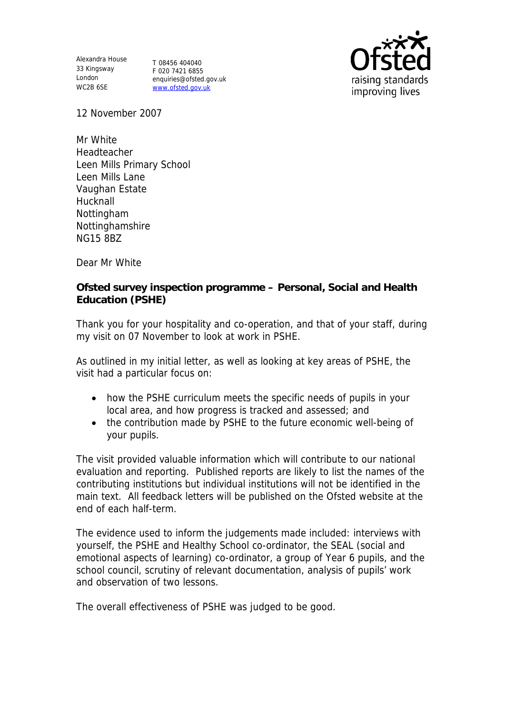Alexandra House 33 Kingsway London WC2B 6SE

T 08456 404040 F 020 7421 6855 enquiries@ofsted.gov.uk www.ofsted.gov.uk



12 November 2007

Mr White Headteacher Leen Mills Primary School Leen Mills Lane Vaughan Estate **Hucknall** Nottingham Nottinghamshire NG15 8BZ

Dear Mr White

**Ofsted survey inspection programme – Personal, Social and Health Education (PSHE)** 

Thank you for your hospitality and co-operation, and that of your staff, during my visit on 07 November to look at work in PSHE.

As outlined in my initial letter, as well as looking at key areas of PSHE, the visit had a particular focus on:

- how the PSHE curriculum meets the specific needs of pupils in your local area, and how progress is tracked and assessed; and
- the contribution made by PSHE to the future economic well-being of your pupils.

The visit provided valuable information which will contribute to our national evaluation and reporting. Published reports are likely to list the names of the contributing institutions but individual institutions will not be identified in the main text. All feedback letters will be published on the Ofsted website at the end of each half-term.

The evidence used to inform the judgements made included: interviews with yourself, the PSHE and Healthy School co-ordinator, the SEAL (social and emotional aspects of learning) co-ordinator, a group of Year 6 pupils, and the school council, scrutiny of relevant documentation, analysis of pupils' work and observation of two lessons.

The overall effectiveness of PSHE was judged to be good.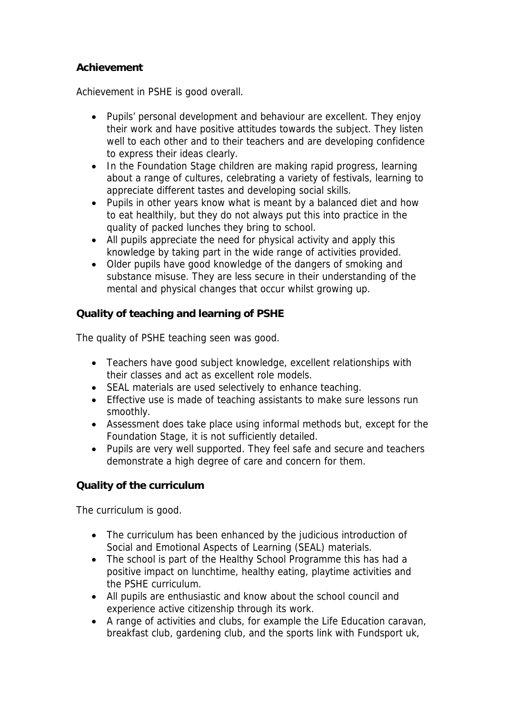## **Achievement**

Achievement in PSHE is good overall.

- Pupils' personal development and behaviour are excellent. They enjoy their work and have positive attitudes towards the subject. They listen well to each other and to their teachers and are developing confidence to express their ideas clearly.
- In the Foundation Stage children are making rapid progress, learning about a range of cultures, celebrating a variety of festivals, learning to appreciate different tastes and developing social skills.
- Pupils in other years know what is meant by a balanced diet and how to eat healthily, but they do not always put this into practice in the quality of packed lunches they bring to school.
- All pupils appreciate the need for physical activity and apply this knowledge by taking part in the wide range of activities provided.
- Older pupils have good knowledge of the dangers of smoking and substance misuse. They are less secure in their understanding of the mental and physical changes that occur whilst growing up.

**Quality of teaching and learning of PSHE** 

The quality of PSHE teaching seen was good.

- Teachers have good subject knowledge, excellent relationships with their classes and act as excellent role models.
- SEAL materials are used selectively to enhance teaching.
- Effective use is made of teaching assistants to make sure lessons run smoothly.
- Assessment does take place using informal methods but, except for the Foundation Stage, it is not sufficiently detailed.
- Pupils are very well supported. They feel safe and secure and teachers demonstrate a high degree of care and concern for them.

**Quality of the curriculum** 

The curriculum is good.

- The curriculum has been enhanced by the judicious introduction of Social and Emotional Aspects of Learning (SEAL) materials.
- The school is part of the Healthy School Programme this has had a positive impact on lunchtime, healthy eating, playtime activities and the PSHE curriculum.
- All pupils are enthusiastic and know about the school council and experience active citizenship through its work.
- A range of activities and clubs, for example the Life Education caravan, breakfast club, gardening club, and the sports link with Fundsport uk,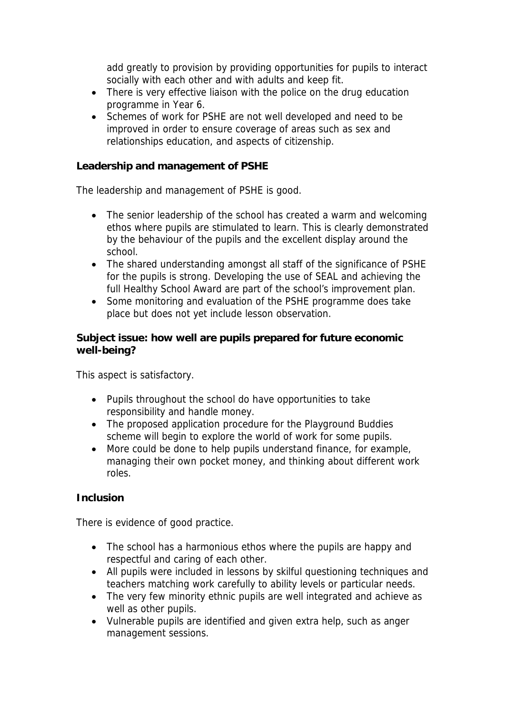add greatly to provision by providing opportunities for pupils to interact socially with each other and with adults and keep fit.

- There is very effective liaison with the police on the drug education programme in Year 6.
- Schemes of work for PSHE are not well developed and need to be improved in order to ensure coverage of areas such as sex and relationships education, and aspects of citizenship.

**Leadership and management of PSHE** 

The leadership and management of PSHE is good.

- The senior leadership of the school has created a warm and welcoming ethos where pupils are stimulated to learn. This is clearly demonstrated by the behaviour of the pupils and the excellent display around the school.
- The shared understanding amongst all staff of the significance of PSHE for the pupils is strong. Developing the use of SEAL and achieving the full Healthy School Award are part of the school's improvement plan.
- Some monitoring and evaluation of the PSHE programme does take place but does not yet include lesson observation.

**Subject issue: how well are pupils prepared for future economic well-being?**

This aspect is satisfactory.

- Pupils throughout the school do have opportunities to take responsibility and handle money.
- The proposed application procedure for the Playground Buddies scheme will begin to explore the world of work for some pupils.
- More could be done to help pupils understand finance, for example, managing their own pocket money, and thinking about different work roles.

## **Inclusion**

There is evidence of good practice.

- The school has a harmonious ethos where the pupils are happy and respectful and caring of each other.
- All pupils were included in lessons by skilful questioning techniques and teachers matching work carefully to ability levels or particular needs.
- The very few minority ethnic pupils are well integrated and achieve as well as other pupils.
- Vulnerable pupils are identified and given extra help, such as anger management sessions.